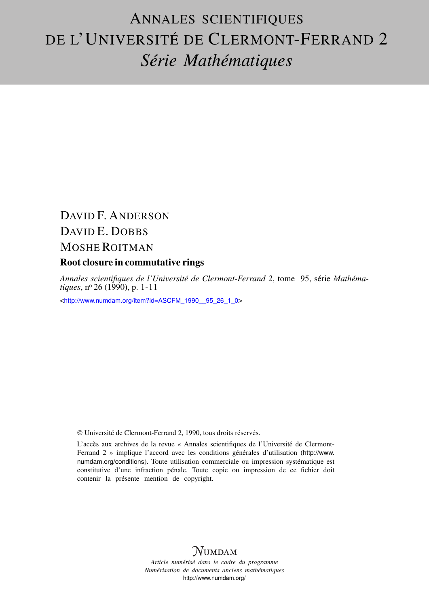# ANNALES SCIENTIFIQUES DE L'UNIVERSITÉ DE CLERMONT-FERRAND 2 *Série Mathématiques*

# DAVID F. ANDERSON DAVID E. DOBBS MOSHE ROITMAN

# Root closure in commutative rings

*Annales scientifiques de l'Université de Clermont-Ferrand 2*, tome 95, série *Mathématiques*, nº 26 (1990), p. 1-11

<[http://www.numdam.org/item?id=ASCFM\\_1990\\_\\_95\\_26\\_1\\_0](http://www.numdam.org/item?id=ASCFM_1990__95_26_1_0)>

© Université de Clermont-Ferrand 2, 1990, tous droits réservés.

L'accès aux archives de la revue « Annales scientifiques de l'Université de Clermont-Ferrand 2 » implique l'accord avec les conditions générales d'utilisation ([http://www.](http://www.numdam.org/conditions) [numdam.org/conditions](http://www.numdam.org/conditions)). Toute utilisation commerciale ou impression systématique est constitutive d'une infraction pénale. Toute copie ou impression de ce fichier doit contenir la présente mention de copyright.

# **NUMDAM**

*Article numérisé dans le cadre du programme Numérisation de documents anciens mathématiques* <http://www.numdam.org/>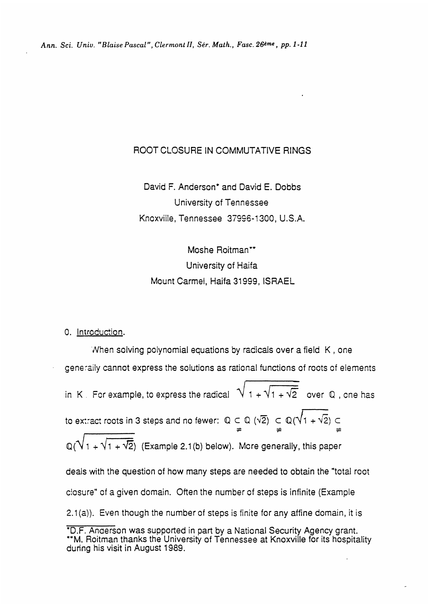## ROOT CLOSURE IN COMMUTATIVE RINGS

David F. Anderson\* and David E. Dobbs University of Tennessee Knoxville, Tennessee 37996-1300, U.S.A.

Moshe Roitman\*\* University of Haifa Mount Carmel, Haifa 31999, ISRAEL

#### 0. Introduction.

'Nhen solving polynomial equations by radicals over a field K , one generaity cannot express the solutions as rational functions of roots of elements in K . For example, to express the radical  $\sqrt{1 + \sqrt{1 + \sqrt{2}}}$  over Q, one has to extract roots in 3 steps and no fewer:  $\mathbb{Q} \subset \mathbb{Q}$  ( $\sqrt{2}$ )  $\subset \mathbb{Q}(\sqrt{1 + \sqrt{2}}) \subset$  $\mathbb{Q}(\sqrt{1+\sqrt{1+\sqrt{2}}})$  (Example 2.1(b) below). More generally, this paper deals with the question of how many steps are needed to obtain the "total root closure" of a given domain. Often the number of steps is infinite (Example  $2.1(a)$ ). Even though the number of steps is finite for any affine domain, it is \*D.F. Anaerson was supported in part by a National Security Agency grant.

<sup>\*\*</sup>M. Roitman thanks the University of Tennessee at Knoxville for its hospitality during his visit in August 1989.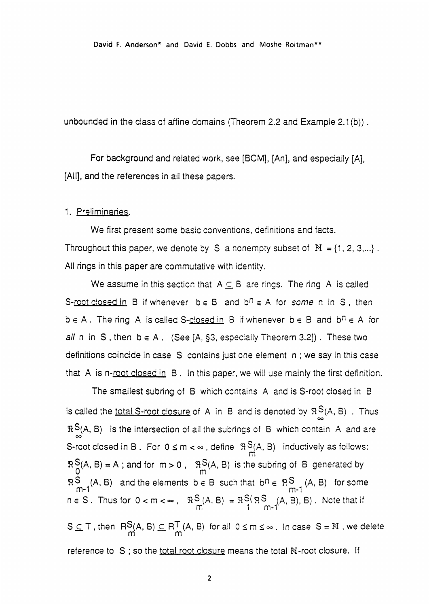David F. Anderson\* and David E. Dobbs and Moshe Roitman\*\*

unbounded in the class of affine domains (Theorem 2.2 and Example 2.1 (b)) .

For background and related work, see [BCM], [An], and especially [A], [All], and the references in all these papers.

#### 1. Preliminaries.

We first present some basic conventions, definitions and facts. Throughout this paper, we denote by S a nonempty subset of  $N = \{1, 2, 3, ...\}$ . All rings in this paper are commutative with identity.

We assume in this section that  $A \subseteq B$  are rings. The ring A is called S-root closed in B if whenever  $b \in B$  and  $b^n \in A$  for some n in S, then  $b \in A$ . The ring A is called S-closed in B if whenever  $b \in B$  and  $b^n \in A$  for all n in S, then  $b \in A$ . (See [A, §3, especially Theorem 3.2]). These two definitions coincide in case S contains just one element n ; we say in this case that A is n-root closed in  $B$ . In this paper, we will use mainly the first definition.

The smallest subring of B which contains A and is S-root closed in B is called the total S-root closure of A in B and is denoted by  $R_S(A, B)$ . Thus  $R S(A, B)$  is the intersection of all the subrings of B which contain A and are S-root closed in B. For  $0 \le m < \infty$ , define  $\Re S(A, B)$  inductively as follows:  $R_0^S(A, B) = A$ ; and for  $m > 0$ ,  $R_0^S(A, B)$  is the subring of B generated by  $~\mathbb{R}^{\mathbb{S}}$  (A, B) and the elements  $b \in B$  such that  $~b^n \in ~\mathbb{R}^{\mathbb{S}}$  (A, B) for some m-1  $n \in S$  . Thus for  $0 < m < \infty$  ,  $\mathbb{R}^{\infty}(\mathbb{A}, \mathbb{B}) = \mathbb{R}^{\infty}(\mathbb{R}^{\infty} \setminus (\mathbb{A}, \mathbb{B}), \mathbb{B})$  . Note that if  $S \subseteq T$ , then  $RS(A, B) \subseteq RT(A, B)$  for all  $0 \le m \le \infty$ . In case  $S = N$ , we delete reference to S; so the total root closure means the total N-root closure. If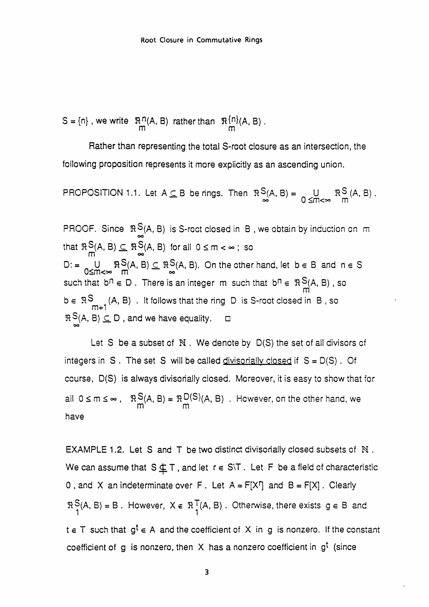$$
S = \{n\}, we write \mathbb{R}^n(A, B) rather than \mathbb{R}^{\{n\}}(A, B).
$$

Rather than representing the total S-root closure as an intersection, the following proposition represents it more explicitly as an ascending union.

PROPOSITION 1.1. Let 
$$
A \subseteq B
$$
 be rings. Then  $\mathbb{R}^S(A, B) = \bigcup_{0 \le m < \infty} \mathbb{R}^S(A, B)$ .

PROOF. Since  $\Re^S(A, B)$  is S-roct closed in B, we obtain by induction on m that  $\mathbb{R}$  S<sub>(</sub>A, B)  $\subseteq \mathbb{R}$  S<sub>(A, B)</sub> for all  $0 \le m < \infty$ ; so D: =  $\bigcup_{0 \le m < \infty} R^S(A, B) \subseteq R^S(A, B)$ . On the other hand, let  $b \in B$  and  $n \in S$ such that  $b^n \in D$ . There is an integer m such that  $b^n \in \mathbb{R}^S$  $(A, B)$ , so  $b \in \mathbb{R}^S$  (A, B). It follows that the ring D is S-root closed in B, so  $R S(A, B) \subseteq D$ , and we have equality.  $\Box$ 

Let  $S$  be a subset of  $N$ . We denote by  $D(S)$  the set of all divisors of integers in  $S$ . The set  $S$  will be called divisorially closed if  $S = D(S)$ . Of course, D(S) is always divisorially closed. Moreover, it is easy to show that for all  $0 \le m \le \infty$ ,  $\mathbb{R}^S(M, B) = \mathbb{R}^D(M, B)$ . However, on the other hand, we have

EXAMPLE 1.2. Let S and T be two distinct divisonally closed subsets of N . We can assume that  $S \nsubseteq T$ , and let  $r \in S \setminus T$ . Let F be a field of characteristic 0, and X an indeterminate over F. Let  $A = F[X]$  and  $B = F[X]$ . Clearly  $R \ge (A, B) = B$ . However,  $X \notin R \nmid (A, B)$ . Otherwise, there exists  $g \in B$  and  $t \in T$  such that  $g^t \in A$  and the coefficient of X in g is nonzero. If the constant coefficient of g is nonzero, then  $X$  has a nonzero coefficient in  $g<sup>t</sup>$  (since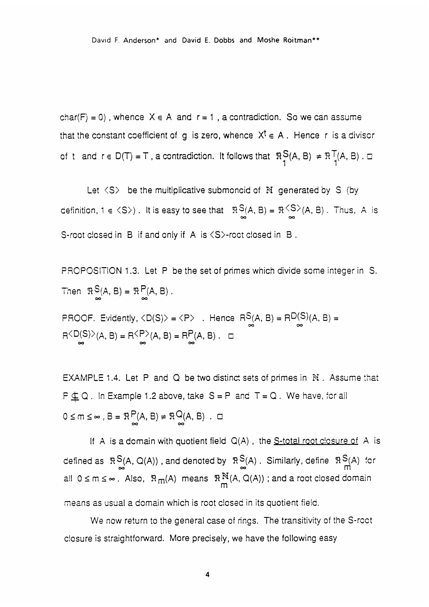David F. Anderson\* and David E. Dobbs and Moshe Roitman\*\*

char(F) = 0), whence  $X \in A$  and  $r = 1$ , a contradiction. So we can assume that the constant coefficient of g is zero, whence  $X^t \in A$ . Hence r is a divisor of t and  $r \in D(T) = T$  , a contradiction. It follows that  $\begin{array}{cc} \Re\supseteq(A,\,B) & \neq \, \Re^{-1}(A,\,B) \;. \ \Box \end{array}$ 

Let  $\langle S \rangle$  be the multiplicative submoncid of N generated by S (by definition,  $1 \in \langle S \rangle$ ). It is easy to see that  $\Re S(A, B) = \Re \frac{\langle S \rangle}{\infty}(A, B)$ . Thus, A is S-root closed in B if and only if A is  $\langle S \rangle$ -root closed in B.

PROPOSITION 1.3. Let P be the set of primes which divide some integer in S. Then  $\mathfrak{R}S(A, B) = \mathfrak{R}P(A, B)$ .

PROOF. Evidently,  $\langle D(S) \rangle = \langle P \rangle$ . Hence  $R_{\infty}^{S}(A, B) = R_{\infty}^{D(S)}(A, B) = R \langle D(S) \rangle$  $(A, B) = R \langle P \rangle (A, B) = R_{\infty}^{P}(A, B)$ .  $\Box$ 

EXAMPLE 1.4. Let P and Q be two distinct sets of primes in  $N$ . Assume that  $P \nsubseteq Q$ . In Example 1.2 above, take  $S = P$  and  $T = Q$ . We have, for all  $0 \le m \le \infty$ ,  $B = \Re \bigcap_{n=1}^{m} (A, B) \ne \Re \bigcup_{n=1}^{m} (A, B)$ .  $\Box$ 

If A is a domain with quotient field  $Q(A)$ , the S-total root closure of A is defined as  $R\binom{S}{A}$ , Q(A)), and denoted by  $R\binom{S}{A}$ . Similarly, define  $R\binom{S}{M}$  for all  $0 \le m \le \infty$ . Also,  $\Re_m(A)$  means  $\Re_m^N(A, Q(A))$ ; and a root closed domain means as usual a domain which is root closed in its quotient field.

We now return to the general case of rings. The transitivity of the S-root closure is straightforward. More precisely, we have the following easy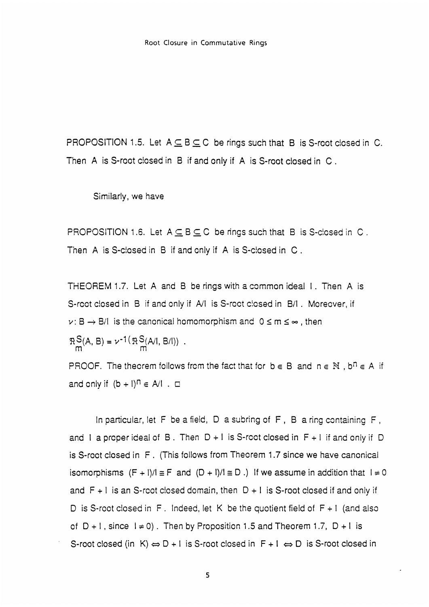PROPOSITION 1.5. Let  $A \subseteq B \subseteq C$  be rings such that B is S-root closed in C. Then A is S-root closed in B if and only if A is S-root closed in C .

Similarly, we have

PROPOSITION 1.6. Let  $A \subseteq B \subseteq C$  be rings such that B is S-closed in C. Then A is S-closed in B if and only if A is S-closed in C.

THEOREM 1.7. Let A and B be rings with a common ideal I. Then A is S-root closed in B if and only if A/I is S-root closed in B/I. Moreover, if  $v: B \rightarrow B/I$  is the canonical homomorphism and  $0 \le m \le \infty$ , then

 $R_S(A, B) = \nu^{-1}(R_S(A/I, B/I))$ .

PROOF. The theorem follows from the fact that for  $b \in B$  and  $n \in \mathbb{N}$ ,  $b^n \in A$  if and only if  $(b + 1)^n \in A/I$ .  $\Box$ 

In particular, let F be a field, D a subring of F , B a ring containing F , and I a proper ideal of B. Then  $D+1$  is S-root closed in  $F+1$  if and only if D is S-roct closed in F . (This follows from Theorem 1.7 since we have canonical isomorphisms  $(F + I)/I \equiv F$  and  $(D + I)/I \equiv D$ .) If we assume in addition that  $I \neq 0$ and  $F + I$  is an S-root closed domain, then  $D + I$  is S-root closed if and only if D is S-root closed in F. Indeed, let K be the quotient field of  $F + I$  (and also of  $D + 1$ , since  $1 \ne 0$ . Then by Proposition 1.5 and Theorem 1.7,  $D + 1$  is S-root closed (in K)  $\Leftrightarrow$  D + I is S-root closed in F + I  $\Leftrightarrow$  D is S-root closed in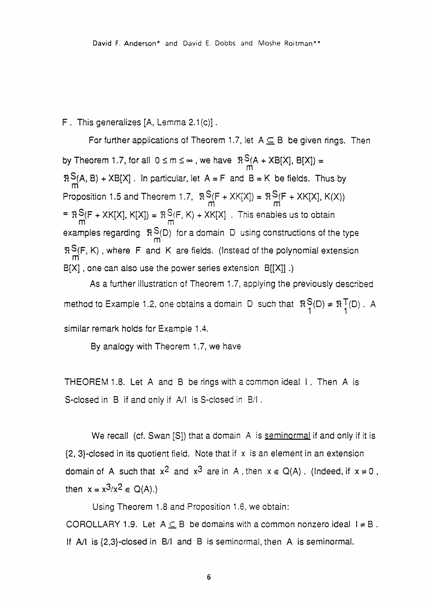### F . This generalizes [A, Lemma 2.1(c)].

For further applications of Theorem 1.7, let  $A \subseteq B$  be given rings. Then by Theorem 1.7, for all  $0 \le m \le \infty$  , we have  $\mathbb{R}^{\mathbb{S}}(A + X \mathbb{B}[X], \mathbb{B}[X]) = \frac{m}{m}$  $R \n\begin{bmatrix} 1 & 0 \\ 0 & 0 \end{bmatrix}$  + XB[X]. In particular, let A = F and B = K be fields. Thus by Proposition 1.5 and Theorem 1.7,  $R\frac{S}{m}(F+XK[X]) = R\frac{S}{m}(F+XK[X], K(X))$ >(F + XK[X], K[X]) =  $\begin{array}{l} \mathfrak{P}(F,K) + XK[X] \ \ . \end{array}$  . This enables us to obtain  $\begin{array}{l} \mathsf{m} \ \end{array}$ examples regarding  $\mathbb{R}^{\infty}(\mathsf{D})$  for a domain  $\mathsf D$  using constructions of the type  $R\frac{S}{M}(F, K)$ , where F and K are fields. (Instead of the polynomial extension  $B[X]$  , one can also use the power series extension  $B[[X]]$  .)

As a further illustraticn of Theorem 1.7, applying the previously described method to Example 1.2, one obtains a domain D such that  $\begin{array}{cc} \Re\operatorname{SO}(D)\neq \Re\operatorname{SO}(D) \end{array}$  . A similar remark holds for Example 1.4.

By analogy with Theorem 1.7, we have

THEOREM 1.8. Let A and B be rings with a common ideal I . Then A is S-closed in B if and only if All is S-closed in E/I .

We recall (cf. Swan [S]) that a domain A is seminormal if and only if it is  ${2, 3}$ -closed in its quotient field. Note that if x is an element in an extension domain of A such that  $x^2$  and  $x^3$  are in A, then  $x \in Q(A)$ . (indeed, if  $x \ne 0$ , then  $x = x^3/x^2 \in Q(A)$ .)

Using Theorem 1.8 and Proposition 1.6, we obtain: COROLLARY 1.9. Let  $A \subseteq B$  be domains with a common nonzero ideal  $I \neq B$ . If All is {2,3}-closed in B/I and B is seminormal, then A is seminormal.

6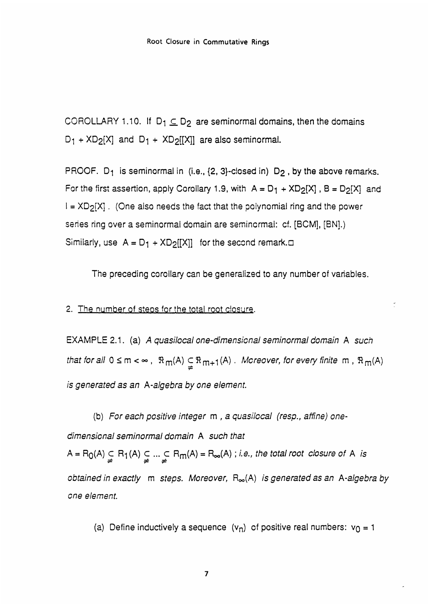COROLLARY 1.10. If  $D_1 \subseteq D_2$  are seminormal domains, then the domains  $D_1$  + XD<sub>2</sub>[X] and  $D_1$  + XD<sub>2</sub>[[X]] are also seminormal.

PROOF.  $D_1$  is seminormal in (i.e.,  $\{2, 3\}$ -closed in)  $D_2$ , by the above remarks. For the first assertion, apply Corollary 1.9, with  $A = D_1 + X D_2[X]$ ,  $B = D_2[X]$  and  $I = XD_2[X]$ . (One also needs the fact that the polynomial ring and the power series ring over a seminormal domain are seminormal: cf. [BCM], [BN].) Similarly, use  $A = D_1 + XD_2[[X]]$  for the second remark. $\Box$ 

The preceding corollary can be generalized to any number of variables.

#### 2. The number of steos for the total root closure.

EXAMPLE 2.1. (a) A quasilocal one-dimensional seminormal domain A such that for all  $0 \le m < \infty$ ,  $\Re_m(A) \subseteq \Re_{m+1}(A)$ . Moreover, for every finite m,  $\Re_m(A)$ is generated as an A-algebra by one element.

(b) For each positive integer m , a quasilocal (resp., affine) onedimensional seminormal domain A such that  $A = R_0(A) \subsetneq R_1(A) \subsetneq \dots \subsetneq R_m(A) = R_\infty(A)$  ; i.e., the total root closure of A is obtained in exactly  $m$  steps. Moreover,  $R_{\infty}(A)$  is generated as an A-algebra by one element.

(a) Define inductively a sequence  $(v_n)$  of positive real numbers:  $v_0 = 1$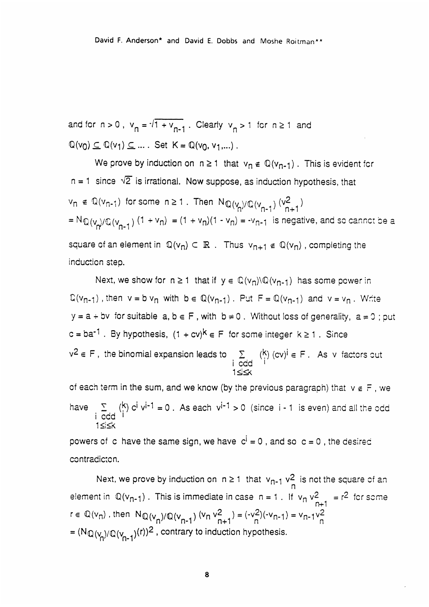and for  $n > 0$ ,  $v_n = \sqrt{1 + v_{n-1}}$ . Clearly  $v_n > 1$  for  $n \ge 1$  and  $\mathbb{Q}(v_0) \subseteq \mathbb{Q}(v_1) \subseteq \dots$  Set  $K = \mathbb{Q}(v_0, v_1, \dots)$ .

We prove by induction on  $n \ge 1$  that  $v_n \notin \mathbb{Q}(v_{n-1})$ . This is evident for  $n = 1$  since  $\sqrt{2}$  is irrational. Now suppose, as induction hypothesis, that  $\mathsf{v}_\mathsf{n}$   $\in$   $\mathbb{Q}(\mathsf{v}_{\mathsf{n-1}})$  for some  $\mathsf{n} \geq 1$  . Then  $\mathsf{N}_{\mathbb{Q}}(\mathsf{v}_{\mathsf{n}}) \mathsf{Q}(\mathsf{v}_{\mathsf{n-1}})$   $(\mathsf{v}_{\mathsf{n+1}}^2)$  $i = N_{\mathbb{Q}}(v_p)/\mathbb{Q}(v_{n-1})$   $(1 + v_n) = (1 + v_n)(1 - v_n) = -v_{n-1}$  is negative, and so cannot be a square of an element in  $\mathbb{Q}(v_n) \subset \mathbb{R}$ . Thus  $v_{n+1} \notin \mathbb{Q}(v_n)$ , completing the induction step.

Next, we show for  $n \ge 1$  that if  $y \in \mathbb{Q}(V_n) \setminus \mathbb{Q}(V_{n-1})$  has some power in  $\mathbb{Q}(v_{n-1})$ , then  $v = b v_n$  with  $b \in \mathbb{Q}(v_{n-1})$ . Put  $F = \mathbb{Q}(v_{n-1})$  and  $v = v_n$ . Write  $y = a + bv$  for suitable  $a, b \in F$ , with  $b \ne 0$ . Without loss of generality,  $a = 0$ ; put  $c = ba^{-1}$ . By hypothesis,  $(1 + cv)^k \in F$  for some integer  $k \ge 1$ . Since  $v^2\in$  F , the binomial expansion leads to  $\quad$   $\sum_{i=1}^{N}$   $\binom{K}{i}$  (cv) $^i$   $\in$  F . As  $\lor$  factors cut i ccd I 1≤i<mark>≤</mark>≺

of each term in the sum, and we know (by the previous paragraph) that  $v \notin F$ , we have  $\sum_{i \text{ odd}}^{k}$  (k)  $c^{i}$  v<sup>i-1</sup> = 0. As each v<sup>i-1</sup> > 0 (since i-1 is even) and all the odd  $1 < < x$ 

powers of c have the same sign, we have  $c^i = 0$ , and so  $c = 0$ , the desired contradicton.

Next, we prove by induction on  $n \ge 1$  that  $v_{n-1}$   $v_2^2$  is not the square of an element in  $\mathbb{Q}(v_{n-1})$ . This is immediate in case  $n = 1$ . If  $v_n v_{n+1}^2 = r^2$  for some  $r \in \mathbb{Q}(v_n)$ , then  $N_{\mathbb{Q}}(v_n)/\mathbb{Q}(v_{n-1})$   $(v_n v_{n+1}^2) = (-v_n^2)(-v_{n-1}) = v_{n-1}v_n^2$ =  $(N_{\mathbb{Q}}(V_{n})/\mathbb{Q}(V_{n-1})(r))^2$ , contrary to induction hypothesis.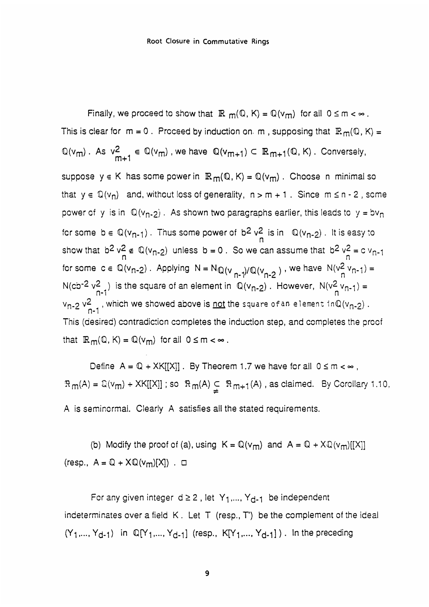Finally, we proceed to show that  $\mathbb{R}$   $m(\mathbb{Q}, K) = \mathbb{Q}(v_m)$  for all  $0 \le m < \infty$ . This is clear for  $m = 0$ . Proceed by induction on. m, supposing that  $\mathbb{R}_{m}(\mathbb{Q}, K) =$  $\mathbb{Q}(v_m)$ . As  $v_{m+1}^2 \in \mathbb{Q}(v_m)$ , we have  $\mathbb{Q}(v_{m+1}) \subset \mathbb{R}_{m+1}(\mathbb{Q}, K)$ . Conversely, suppose  $y \in K$  has some power in  $\mathbb{R}_m(\mathbb{Q}, K) = \mathbb{Q}(v_m)$ . Choose n minimal so that  $y \in \mathbb{Q}(v_n)$  and, without loss of generality,  $n > m + 1$ . Since  $m \le n - 2$ , some power of y is in  $\mathbb{Q}(v_{n-2})$ . As shown two paragraphs earlier, this leads to  $y = bv_n$ for some  $b \in \mathbb{Q}(v_{n-1})$ . Thus some power of  $b^2 v_2^2$  is in  $\mathbb{Q}(v_{n-2})$ . It is easy to show that  $b^2 v_n^2 \notin \mathbb{Q}(v_{n-2})$  unless  $b = 0$ . So we can assume that  $b^2 v_n^2 = c v_{n-1}$ for some  $c \in \mathbb{Q}(v_{n-2})$ . Applying  $N = N_{\mathbb{Q}(v_{n-1})/\mathbb{Q}(v_{n-2})}$ , we have  $N(v_{n-1}^2) =$  $N$ (cb<sup>-2</sup>  $v^2$ <sub>n-1</sub>) is the square of an element in  $\mathbb{Q}(v_{n-2})$ . However,  $N(v^2|v_{n-1}) =$  $v_{n-2}$   $v_{n-1}^2$  , which we showed above is <u>not</u> the square of an element. This (desired) contradiction completes the induction step, and completes the proof that  $\mathbb{R}_{m}(\mathbb{Q}, K) = \mathbb{Q}(v_m)$  for all  $0 \leq m < \infty$ .

Define  $A = \mathbb{Q} + \mathsf{X}\mathsf{K}[[\mathsf{X}]]$ . By Theorem 1.7 we have for all  $0 \le m < \infty$ ,  $\Re_{m}(A) = \mathbb{Q}(v_m) + XK[[X]]$ ; so  $\Re_{m}(A) \subseteq \Re_{m+1}(A)$ , as claimed. By Corollary 1.10, A is seminormal. Clearly A satisfies all the stated requirements.

(b) Modify the proof of (a), using  $K = \mathbb{Q}(v_m)$  and  $A = \mathbb{Q} + X\mathbb{Q}(v_m)[[X]]$  $(resp., A = \mathbb{Q} + X\mathbb{Q}(v_m)[X])$ .  $\Box$ 

For any given integer  $d \ge 2$ , let  $Y_1, ..., Y_{d-1}$  be independent indeterminates over a field K . Let T (resp., T) be the complement of the ideal  $(Y_1,..., Y_{d-1})$  in  $\mathbb{Q}[Y_1,..., Y_{d-1}]$  (resp.,  $K[Y_1,..., Y_{d-1}]$ ). In the preceding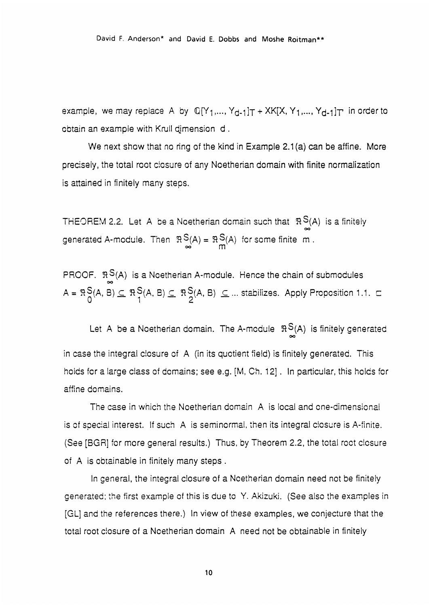example, we may replace A by  $\mathbb{Q}[Y_1,..., Y_{d-1}]T + \text{XK}[X, Y_1,..., Y_{d-1}]T$  in order to obtain an example with Krull dimension d .

We next show that no ring of the kind in Example 2.1(a) can be affine. More precisely, the total root closure of any Noetherian domain with finite normalization is attained in finitely many steps.

THEOREM 2.2. Let A be a Noetherian domain such that  $R S(A)$  is a finitely generated A-module. Then  $\Re S(A) = \Re S(A)$  for some finite m.

PROOF.  $\mathbb{R}^S$ (A) is a Noetherian A-module. Hence the chain of submodules  $A = \Re \frac{S}{n}(A, B) \subseteq \Re \frac{S}{1}(A, B) \subseteq \Re \frac{S}{2}(A, B) \subseteq ...$  stabilizes. Apply Proposition 1.1. c

Let A be a Noetherian domain. The A-module  $\Re S(A)$  is finitely generated in case the integral ciosure of A (in its quotient field) is finitely generated. This hoids for a large class of domains; see e.g. [M, Ch. 12]. In particular, this holds for affine domains.

The case in which the Noetherian domain A is local and one-dimensional is of special interest. If such A is seminormal, then its integral closure is A-finite. (See [BGRI for more general results.) Thus, by Theorem 2.2, the total roct closure of A is obtainable in finitely many steps .

In general, the integral closure of a Ncetherian domain need not be finitely generated: the first example of this is due to Y. Akizuki. (See also the examples in [GL] and the references there.) In view of these examples, we conjecture that the total root ciosure of a Noetherian domain A need not be obtainable in finitely

10